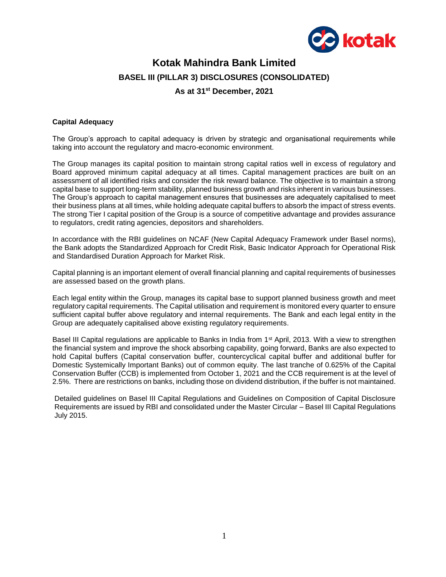

# **Kotak Mahindra Bank Limited BASEL III (PILLAR 3) DISCLOSURES (CONSOLIDATED) As at 31 st December, 2021**

# **Capital Adequacy**

The Group's approach to capital adequacy is driven by strategic and organisational requirements while taking into account the regulatory and macro-economic environment.

The Group manages its capital position to maintain strong capital ratios well in excess of regulatory and Board approved minimum capital adequacy at all times. Capital management practices are built on an assessment of all identified risks and consider the risk reward balance. The objective is to maintain a strong capital base to support long-term stability, planned business growth and risks inherent in various businesses. The Group's approach to capital management ensures that businesses are adequately capitalised to meet their business plans at all times, while holding adequate capital buffers to absorb the impact of stress events. The strong Tier I capital position of the Group is a source of competitive advantage and provides assurance to regulators, credit rating agencies, depositors and shareholders.

In accordance with the RBI guidelines on NCAF (New Capital Adequacy Framework under Basel norms), the Bank adopts the Standardized Approach for Credit Risk, Basic Indicator Approach for Operational Risk and Standardised Duration Approach for Market Risk.

Capital planning is an important element of overall financial planning and capital requirements of businesses are assessed based on the growth plans.

Each legal entity within the Group, manages its capital base to support planned business growth and meet regulatory capital requirements. The Capital utilisation and requirement is monitored every quarter to ensure sufficient capital buffer above regulatory and internal requirements. The Bank and each legal entity in the Group are adequately capitalised above existing regulatory requirements.

Basel III Capital regulations are applicable to Banks in India from 1st April, 2013. With a view to strengthen the financial system and improve the shock absorbing capability, going forward, Banks are also expected to hold Capital buffers (Capital conservation buffer, countercyclical capital buffer and additional buffer for Domestic Systemically Important Banks) out of common equity. The last tranche of 0.625% of the Capital Conservation Buffer (CCB) is implemented from October 1, 2021 and the CCB requirement is at the level of 2.5%. There are restrictions on banks, including those on dividend distribution, if the buffer is not maintained.

Detailed guidelines on Basel III Capital Regulations and Guidelines on Composition of Capital Disclosure Requirements are issued by RBI and consolidated under the Master Circular – Basel III Capital Regulations July 2015.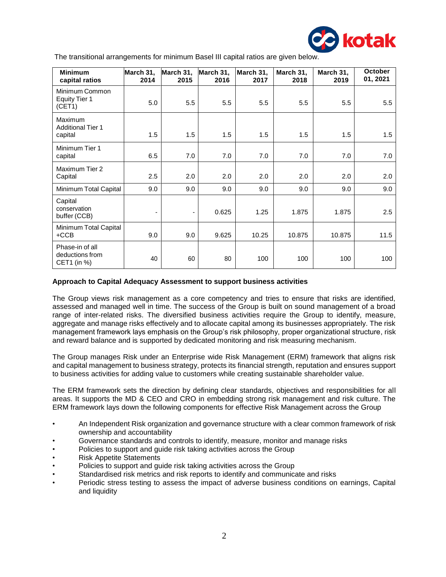

The transitional arrangements for minimum Basel III capital ratios are given below.

| <b>Minimum</b><br>capital ratios                  | March 31,<br>2014        | March 31,<br>2015 | March 31,<br>2016 | March 31,<br>2017 | March 31,<br>2018 | March 31,<br>2019 | <b>October</b><br>01, 2021 |
|---------------------------------------------------|--------------------------|-------------------|-------------------|-------------------|-------------------|-------------------|----------------------------|
| Minimum Common<br><b>Equity Tier 1</b><br>(CET1)  | 5.0                      | 5.5               | 5.5               | 5.5               | 5.5               | 5.5               | 5.5                        |
| Maximum<br><b>Additional Tier 1</b><br>capital    | 1.5                      | 1.5               | 1.5               | 1.5               | 1.5               | 1.5               | 1.5                        |
| Minimum Tier 1<br>capital                         | 6.5                      | 7.0               | 7.0               | 7.0               | 7.0               | 7.0               | 7.0                        |
| Maximum Tier 2<br>Capital                         | 2.5                      | 2.0               | 2.0               | 2.0               | 2.0               | 2.0               | 2.0                        |
| Minimum Total Capital                             | 9.0                      | 9.0               | 9.0               | 9.0               | 9.0               | 9.0               | 9.0                        |
| Capital<br>conservation<br>buffer (CCB)           | $\overline{\phantom{a}}$ | ٠                 | 0.625             | 1.25              | 1.875             | 1.875             | 2.5                        |
| Minimum Total Capital<br>$+CCB$                   | 9.0                      | 9.0               | 9.625             | 10.25             | 10.875            | 10.875            | 11.5                       |
| Phase-in of all<br>deductions from<br>CET1 (in %) | 40                       | 60                | 80                | 100               | 100               | 100               | 100                        |

# **Approach to Capital Adequacy Assessment to support business activities**

The Group views risk management as a core competency and tries to ensure that risks are identified, assessed and managed well in time. The success of the Group is built on sound management of a broad range of inter-related risks. The diversified business activities require the Group to identify, measure, aggregate and manage risks effectively and to allocate capital among its businesses appropriately. The risk management framework lays emphasis on the Group's risk philosophy, proper organizational structure, risk and reward balance and is supported by dedicated monitoring and risk measuring mechanism.

The Group manages Risk under an Enterprise wide Risk Management (ERM) framework that aligns risk and capital management to business strategy, protects its financial strength, reputation and ensures support to business activities for adding value to customers while creating sustainable shareholder value.

The ERM framework sets the direction by defining clear standards, objectives and responsibilities for all areas. It supports the MD & CEO and CRO in embedding strong risk management and risk culture. The ERM framework lays down the following components for effective Risk Management across the Group

- An Independent Risk organization and governance structure with a clear common framework of risk ownership and accountability
- Governance standards and controls to identify, measure, monitor and manage risks
- Policies to support and guide risk taking activities across the Group
- Risk Appetite Statements
- Policies to support and guide risk taking activities across the Group
- Standardised risk metrics and risk reports to identify and communicate and risks
- Periodic stress testing to assess the impact of adverse business conditions on earnings, Capital and liquidity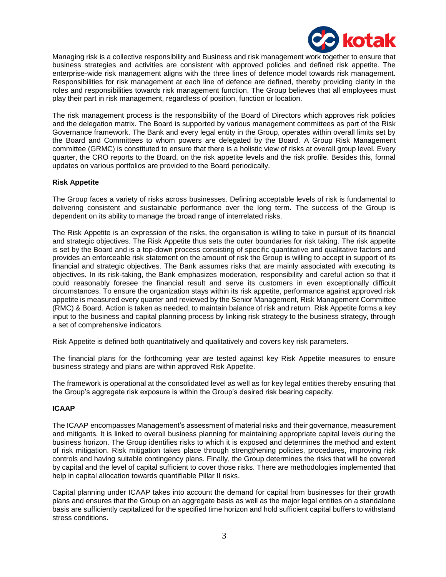

Managing risk is a collective responsibility and Business and risk management work together to ensure that business strategies and activities are consistent with approved policies and defined risk appetite. The enterprise-wide risk management aligns with the three lines of defence model towards risk management. Responsibilities for risk management at each line of defence are defined, thereby providing clarity in the roles and responsibilities towards risk management function. The Group believes that all employees must play their part in risk management, regardless of position, function or location.

The risk management process is the responsibility of the Board of Directors which approves risk policies and the delegation matrix. The Board is supported by various management committees as part of the Risk Governance framework. The Bank and every legal entity in the Group, operates within overall limits set by the Board and Committees to whom powers are delegated by the Board. A Group Risk Management committee (GRMC) is constituted to ensure that there is a holistic view of risks at overall group level. Every quarter, the CRO reports to the Board, on the risk appetite levels and the risk profile. Besides this, formal updates on various portfolios are provided to the Board periodically.

# **Risk Appetite**

The Group faces a variety of risks across businesses. Defining acceptable levels of risk is fundamental to delivering consistent and sustainable performance over the long term. The success of the Group is dependent on its ability to manage the broad range of interrelated risks.

The Risk Appetite is an expression of the risks, the organisation is willing to take in pursuit of its financial and strategic objectives. The Risk Appetite thus sets the outer boundaries for risk taking. The risk appetite is set by the Board and is a top-down process consisting of specific quantitative and qualitative factors and provides an enforceable risk statement on the amount of risk the Group is willing to accept in support of its financial and strategic objectives. The Bank assumes risks that are mainly associated with executing its objectives. In its risk-taking, the Bank emphasizes moderation, responsibility and careful action so that it could reasonably foresee the financial result and serve its customers in even exceptionally difficult circumstances. To ensure the organization stays within its risk appetite, performance against approved risk appetite is measured every quarter and reviewed by the Senior Management, Risk Management Committee (RMC) & Board. Action is taken as needed, to maintain balance of risk and return. Risk Appetite forms a key input to the business and capital planning process by linking risk strategy to the business strategy, through a set of comprehensive indicators.

Risk Appetite is defined both quantitatively and qualitatively and covers key risk parameters.

The financial plans for the forthcoming year are tested against key Risk Appetite measures to ensure business strategy and plans are within approved Risk Appetite.

The framework is operational at the consolidated level as well as for key legal entities thereby ensuring that the Group's aggregate risk exposure is within the Group's desired risk bearing capacity.

# **ICAAP**

The ICAAP encompasses Management's assessment of material risks and their governance, measurement and mitigants. It is linked to overall business planning for maintaining appropriate capital levels during the business horizon. The Group identifies risks to which it is exposed and determines the method and extent of risk mitigation. Risk mitigation takes place through strengthening policies, procedures, improving risk controls and having suitable contingency plans. Finally, the Group determines the risks that will be covered by capital and the level of capital sufficient to cover those risks. There are methodologies implemented that help in capital allocation towards quantifiable Pillar II risks.

Capital planning under ICAAP takes into account the demand for capital from businesses for their growth plans and ensures that the Group on an aggregate basis as well as the major legal entities on a standalone basis are sufficiently capitalized for the specified time horizon and hold sufficient capital buffers to withstand stress conditions.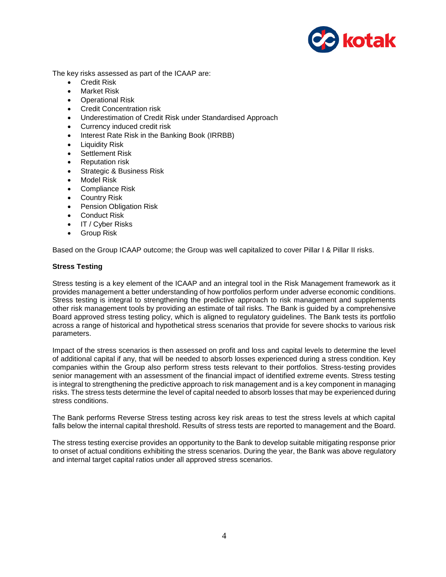

The key risks assessed as part of the ICAAP are:

- **•** Credit Risk
- Market Risk
- Operational Risk
- Credit Concentration risk
- Underestimation of Credit Risk under Standardised Approach
- Currency induced credit risk
- Interest Rate Risk in the Banking Book (IRRBB)
- Liquidity Risk
- Settlement Risk
- Reputation risk
- Strategic & Business Risk
- Model Risk
- Compliance Risk
- **•** Country Risk
- Pension Obligation Risk
- Conduct Risk
- IT / Cyber Risks
- **•** Group Risk

Based on the Group ICAAP outcome; the Group was well capitalized to cover Pillar I & Pillar II risks.

# **Stress Testing**

Stress testing is a key element of the ICAAP and an integral tool in the Risk Management framework as it provides management a better understanding of how portfolios perform under adverse economic conditions. Stress testing is integral to strengthening the predictive approach to risk management and supplements other risk management tools by providing an estimate of tail risks. The Bank is guided by a comprehensive Board approved stress testing policy, which is aligned to regulatory guidelines. The Bank tests its portfolio across a range of historical and hypothetical stress scenarios that provide for severe shocks to various risk parameters.

Impact of the stress scenarios is then assessed on profit and loss and capital levels to determine the level of additional capital if any, that will be needed to absorb losses experienced during a stress condition. Key companies within the Group also perform stress tests relevant to their portfolios. Stress-testing provides senior management with an assessment of the financial impact of identified extreme events. Stress testing is integral to strengthening the predictive approach to risk management and is a key component in managing risks. The stress tests determine the level of capital needed to absorb losses that may be experienced during stress conditions.

The Bank performs Reverse Stress testing across key risk areas to test the stress levels at which capital falls below the internal capital threshold. Results of stress tests are reported to management and the Board.

The stress testing exercise provides an opportunity to the Bank to develop suitable mitigating response prior to onset of actual conditions exhibiting the stress scenarios. During the year, the Bank was above regulatory and internal target capital ratios under all approved stress scenarios.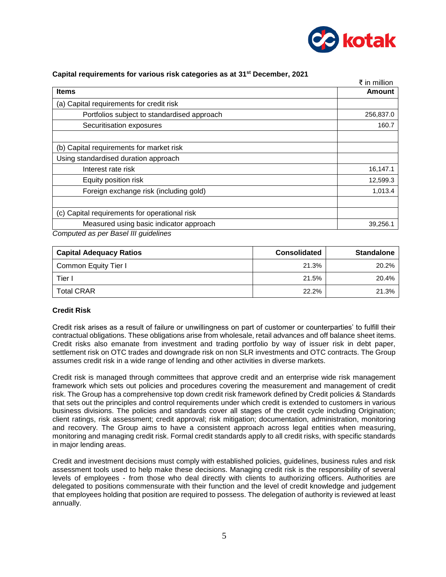

|                                               | ₹ in million |
|-----------------------------------------------|--------------|
| <b>Items</b>                                  | Amount       |
| (a) Capital requirements for credit risk      |              |
| Portfolios subject to standardised approach   | 256,837.0    |
| Securitisation exposures                      | 160.7        |
|                                               |              |
| (b) Capital requirements for market risk      |              |
| Using standardised duration approach          |              |
| Interest rate risk                            | 16,147.1     |
| Equity position risk                          | 12,599.3     |
| Foreign exchange risk (including gold)        | 1,013.4      |
|                                               |              |
| (c) Capital requirements for operational risk |              |
| Measured using basic indicator approach       | 39,256.1     |
| _________                                     |              |

#### **Capital requirements for various risk categories as at 31 st December, 2021**

*Computed as per Basel III guidelines*

| <b>Capital Adequacy Ratios</b> | <b>Consolidated</b> | <b>Standalone</b> |
|--------------------------------|---------------------|-------------------|
| Common Equity Tier I           | 21.3%               | 20.2%             |
| Tier i                         | 21.5%               | 20.4%             |
| <b>Total CRAR</b>              | 22.2%               | 21.3%             |

# **Credit Risk**

Credit risk arises as a result of failure or unwillingness on part of customer or counterparties' to fulfill their contractual obligations. These obligations arise from wholesale, retail advances and off balance sheet items. Credit risks also emanate from investment and trading portfolio by way of issuer risk in debt paper, settlement risk on OTC trades and downgrade risk on non SLR investments and OTC contracts. The Group assumes credit risk in a wide range of lending and other activities in diverse markets.

Credit risk is managed through committees that approve credit and an enterprise wide risk management framework which sets out policies and procedures covering the measurement and management of credit risk. The Group has a comprehensive top down credit risk framework defined by Credit policies & Standards that sets out the principles and control requirements under which credit is extended to customers in various business divisions. The policies and standards cover all stages of the credit cycle including Origination; client ratings, risk assessment; credit approval; risk mitigation; documentation, administration, monitoring and recovery. The Group aims to have a consistent approach across legal entities when measuring, monitoring and managing credit risk. Formal credit standards apply to all credit risks, with specific standards in major lending areas.

Credit and investment decisions must comply with established policies, guidelines, business rules and risk assessment tools used to help make these decisions. Managing credit risk is the responsibility of several levels of employees - from those who deal directly with clients to authorizing officers. Authorities are delegated to positions commensurate with their function and the level of credit knowledge and judgement that employees holding that position are required to possess. The delegation of authority is reviewed at least annually.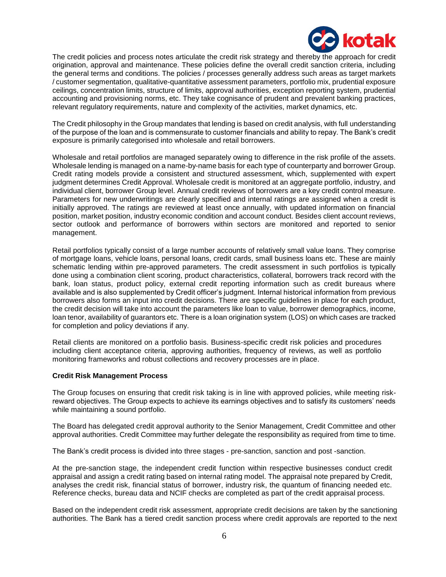

The credit policies and process notes articulate the credit risk strategy and thereby the approach for credit origination, approval and maintenance. These policies define the overall credit sanction criteria, including the general terms and conditions. The policies / processes generally address such areas as target markets / customer segmentation, qualitative-quantitative assessment parameters, portfolio mix, prudential exposure ceilings, concentration limits, structure of limits, approval authorities, exception reporting system, prudential accounting and provisioning norms, etc. They take cognisance of prudent and prevalent banking practices, relevant regulatory requirements, nature and complexity of the activities, market dynamics, etc.

The Credit philosophy in the Group mandates that lending is based on credit analysis, with full understanding of the purpose of the loan and is commensurate to customer financials and ability to repay. The Bank's credit exposure is primarily categorised into wholesale and retail borrowers.

Wholesale and retail portfolios are managed separately owing to difference in the risk profile of the assets. Wholesale lending is managed on a name-by-name basis for each type of counterparty and borrower Group. Credit rating models provide a consistent and structured assessment, which, supplemented with expert judgment determines Credit Approval. Wholesale credit is monitored at an aggregate portfolio, industry, and individual client, borrower Group level. Annual credit reviews of borrowers are a key credit control measure. Parameters for new underwritings are clearly specified and internal ratings are assigned when a credit is initially approved. The ratings are reviewed at least once annually, with updated information on financial position, market position, industry economic condition and account conduct. Besides client account reviews, sector outlook and performance of borrowers within sectors are monitored and reported to senior management.

Retail portfolios typically consist of a large number accounts of relatively small value loans. They comprise of mortgage loans, vehicle loans, personal loans, credit cards, small business loans etc. These are mainly schematic lending within pre-approved parameters. The credit assessment in such portfolios is typically done using a combination client scoring, product characteristics, collateral, borrowers track record with the bank, loan status, product policy, external credit reporting information such as credit bureaus where available and is also supplemented by Credit officer's judgment. Internal historical information from previous borrowers also forms an input into credit decisions. There are specific guidelines in place for each product, the credit decision will take into account the parameters like loan to value, borrower demographics, income, loan tenor, availability of guarantors etc. There is a loan origination system (LOS) on which cases are tracked for completion and policy deviations if any.

Retail clients are monitored on a portfolio basis. Business-specific credit risk policies and procedures including client acceptance criteria, approving authorities, frequency of reviews, as well as portfolio monitoring frameworks and robust collections and recovery processes are in place.

# **Credit Risk Management Process**

The Group focuses on ensuring that credit risk taking is in line with approved policies, while meeting riskreward objectives. The Group expects to achieve its earnings objectives and to satisfy its customers' needs while maintaining a sound portfolio.

The Board has delegated credit approval authority to the Senior Management, Credit Committee and other approval authorities. Credit Committee may further delegate the responsibility as required from time to time.

The Bank's credit process is divided into three stages - pre-sanction, sanction and post -sanction.

At the pre-sanction stage, the independent credit function within respective businesses conduct credit appraisal and assign a credit rating based on internal rating model. The appraisal note prepared by Credit, analyses the credit risk, financial status of borrower, industry risk, the quantum of financing needed etc. Reference checks, bureau data and NCIF checks are completed as part of the credit appraisal process.

Based on the independent credit risk assessment, appropriate credit decisions are taken by the sanctioning authorities. The Bank has a tiered credit sanction process where credit approvals are reported to the next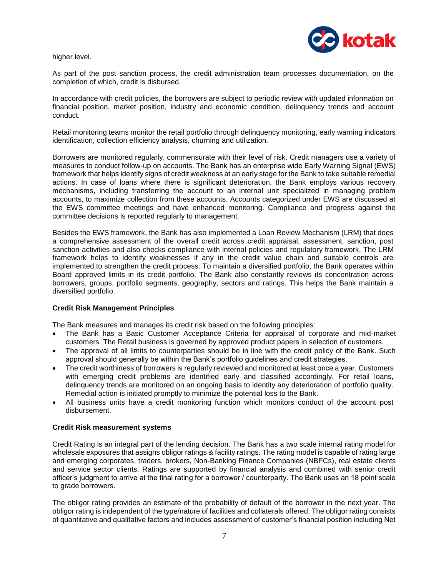higher level.



As part of the post sanction process, the credit administration team processes documentation, on the completion of which, credit is disbursed.

In accordance with credit policies, the borrowers are subject to periodic review with updated information on financial position, market position, industry and economic condition, delinquency trends and account conduct.

Retail monitoring teams monitor the retail portfolio through delinquency monitoring, early warning indicators identification, collection efficiency analysis, churning and utilization.

Borrowers are monitored regularly, commensurate with their level of risk. Credit managers use a variety of measures to conduct follow-up on accounts. The Bank has an enterprise wide Early Warning Signal (EWS) framework that helps identify signs of credit weakness at an early stage for the Bank to take suitable remedial actions. In case of loans where there is significant deterioration, the Bank employs various recovery mechanisms, including transferring the account to an internal unit specialized in managing problem accounts, to maximize collection from these accounts. Accounts categorized under EWS are discussed at the EWS committee meetings and have enhanced monitoring. Compliance and progress against the committee decisions is reported regularly to management.

Besides the EWS framework, the Bank has also implemented a Loan Review Mechanism (LRM) that does a comprehensive assessment of the overall credit across credit appraisal, assessment, sanction, post sanction activities and also checks compliance with internal policies and regulatory framework. The LRM framework helps to identify weaknesses if any in the credit value chain and suitable controls are implemented to strengthen the credit process. To maintain a diversified portfolio, the Bank operates within Board approved limits in its credit portfolio. The Bank also constantly reviews its concentration across borrowers, groups, portfolio segments, geography, sectors and ratings. This helps the Bank maintain a diversified portfolio.

# **Credit Risk Management Principles**

The Bank measures and manages its credit risk based on the following principles:

- The Bank has a Basic Customer Acceptance Criteria for appraisal of corporate and mid-market customers. The Retail business is governed by approved product papers in selection of customers.
- The approval of all limits to counterparties should be in line with the credit policy of the Bank. Such approval should generally be within the Bank's portfolio guidelines and credit strategies.
- The credit worthiness of borrowers is regularly reviewed and monitored at least once a year. Customers with emerging credit problems are identified early and classified accordingly. For retail loans, delinquency trends are monitored on an ongoing basis to identity any deterioration of portfolio quality. Remedial action is initiated promptly to minimize the potential loss to the Bank.
- All business units have a credit monitoring function which monitors conduct of the account post disbursement.

# **Credit Risk measurement systems**

Credit Rating is an integral part of the lending decision. The Bank has a two scale internal rating model for wholesale exposures that assigns obligor ratings & facility ratings. The rating model is capable of rating large and emerging corporates, traders, brokers, Non-Banking Finance Companies (NBFCs), real estate clients and service sector clients. Ratings are supported by financial analysis and combined with senior credit officer's judgment to arrive at the final rating for a borrower / counterparty. The Bank uses an 18 point scale to grade borrowers.

The obligor rating provides an estimate of the probability of default of the borrower in the next year. The obligor rating is independent of the type/nature of facilities and collaterals offered. The obligor rating consists of quantitative and qualitative factors and includes assessment of customer's financial position including Net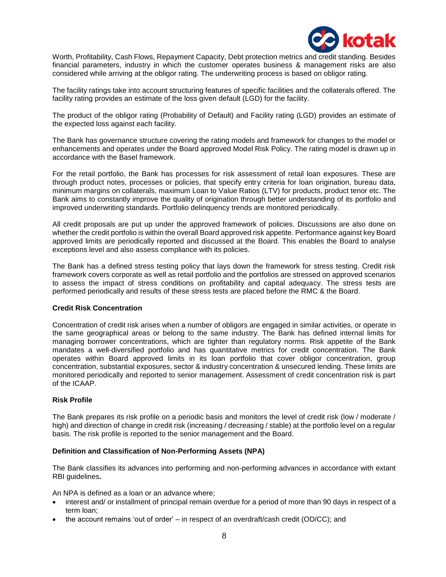

Worth, Profitability, Cash Flows, Repayment Capacity, Debt protection metrics and credit standing. Besides financial parameters, industry in which the customer operates business & management risks are also considered while arriving at the obligor rating. The underwriting process is based on obligor rating.

The facility ratings take into account structuring features of specific facilities and the collaterals offered. The facility rating provides an estimate of the loss given default (LGD) for the facility.

The product of the obligor rating (Probability of Default) and Facility rating (LGD) provides an estimate of the expected loss against each facility.

The Bank has governance structure covering the rating models and framework for changes to the model or enhancements and operates under the Board approved Model Risk Policy. The rating model is drawn up in accordance with the Basel framework.

For the retail portfolio, the Bank has processes for risk assessment of retail loan exposures. These are through product notes, processes or policies, that specify entry criteria for loan origination, bureau data, minimum margins on collaterals, maximum Loan to Value Ratios (LTV) for products, product tenor etc. The Bank aims to constantly improve the quality of origination through better understanding of its portfolio and improved underwriting standards. Portfolio delinquency trends are monitored periodically.

All credit proposals are put up under the approved framework of policies. Discussions are also done on whether the credit portfolio is within the overall Board approved risk appetite. Performance against key Board approved limits are periodically reported and discussed at the Board. This enables the Board to analyse exceptions level and also assess compliance with its policies.

The Bank has a defined stress testing policy that lays down the framework for stress testing. Credit risk framework covers corporate as well as retail portfolio and the portfolios are stressed on approved scenarios to assess the impact of stress conditions on profitability and capital adequacy. The stress tests are performed periodically and results of these stress tests are placed before the RMC & the Board.

# **Credit Risk Concentration**

Concentration of credit risk arises when a number of obligors are engaged in similar activities, or operate in the same geographical areas or belong to the same industry. The Bank has defined internal limits for managing borrower concentrations, which are tighter than regulatory norms. Risk appetite of the Bank mandates a well-diversified portfolio and has quantitative metrics for credit concentration. The Bank operates within Board approved limits in its loan portfolio that cover obligor concentration, group concentration, substantial exposures, sector & industry concentration & unsecured lending. These limits are monitored periodically and reported to senior management. Assessment of credit concentration risk is part of the ICAAP.

# **Risk Profile**

The Bank prepares its risk profile on a periodic basis and monitors the level of credit risk (low / moderate / high) and direction of change in credit risk (increasing / decreasing / stable) at the portfolio level on a regular basis. The risk profile is reported to the senior management and the Board.

#### **Definition and Classification of Non-Performing Assets (NPA)**

The Bank classifies its advances into performing and non-performing advances in accordance with extant RBI guidelines**.**

An NPA is defined as a loan or an advance where;

- interest and/ or installment of principal remain overdue for a period of more than 90 days in respect of a term loan;
- the account remains 'out of order' in respect of an overdraft/cash credit (OD/CC); and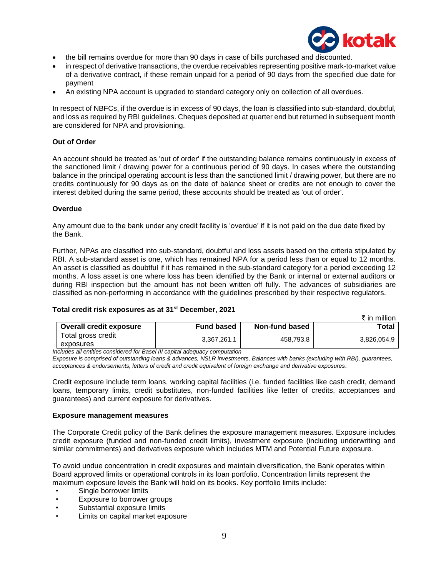

₹ in million

- the bill remains overdue for more than 90 days in case of bills purchased and discounted.
- in respect of derivative transactions, the overdue receivables representing positive mark-to-market value of a derivative contract, if these remain unpaid for a period of 90 days from the specified due date for payment
- An existing NPA account is upgraded to standard category only on collection of all overdues.

In respect of NBFCs, if the overdue is in excess of 90 days, the loan is classified into sub-standard, doubtful, and loss as required by RBI guidelines. Cheques deposited at quarter end but returned in subsequent month are considered for NPA and provisioning.

# **Out of Order**

An account should be treated as 'out of order' if the outstanding balance remains continuously in excess of the sanctioned limit / drawing power for a continuous period of 90 days. In cases where the outstanding balance in the principal operating account is less than the sanctioned limit / drawing power, but there are no credits continuously for 90 days as on the date of balance sheet or credits are not enough to cover the interest debited during the same period, these accounts should be treated as 'out of order'.

# **Overdue**

Any amount due to the bank under any credit facility is 'overdue' if it is not paid on the due date fixed by the Bank.

Further, NPAs are classified into sub-standard, doubtful and loss assets based on the criteria stipulated by RBI. A sub-standard asset is one, which has remained NPA for a period less than or equal to 12 months. An asset is classified as doubtful if it has remained in the sub-standard category for a period exceeding 12 months. A loss asset is one where loss has been identified by the Bank or internal or external auditors or during RBI inspection but the amount has not been written off fully. The advances of subsidiaries are classified as non-performing in accordance with the guidelines prescribed by their respective regulators.

# **Total credit risk exposures as at 31 st December, 2021**

|                                |                   |                | र in million |
|--------------------------------|-------------------|----------------|--------------|
| <b>Overall credit exposure</b> | <b>Fund based</b> | Non-fund based | Total        |
| Total gross credit             | 3,367,261.1       | 458,793.8      | 3,826,054.9  |
| exposures                      |                   |                |              |

*Includes all entities considered for Basel III capital adequacy computation*

*Exposure is comprised of outstanding loans & advances, NSLR investments, Balances with banks (excluding with RBI), guarantees, acceptances & endorsements, letters of credit and credit equivalent of foreign exchange and derivative exposures.*

Credit exposure include term loans, working capital facilities (i.e. funded facilities like cash credit, demand loans, temporary limits, credit substitutes, non-funded facilities like letter of credits, acceptances and guarantees) and current exposure for derivatives.

# **Exposure management measures**

The Corporate Credit policy of the Bank defines the exposure management measures. Exposure includes credit exposure (funded and non-funded credit limits), investment exposure (including underwriting and similar commitments) and derivatives exposure which includes MTM and Potential Future exposure.

To avoid undue concentration in credit exposures and maintain diversification, the Bank operates within Board approved limits or operational controls in its loan portfolio. Concentration limits represent the maximum exposure levels the Bank will hold on its books. Key portfolio limits include:

- Single borrower limits
- Exposure to borrower groups
- Substantial exposure limits
- Limits on capital market exposure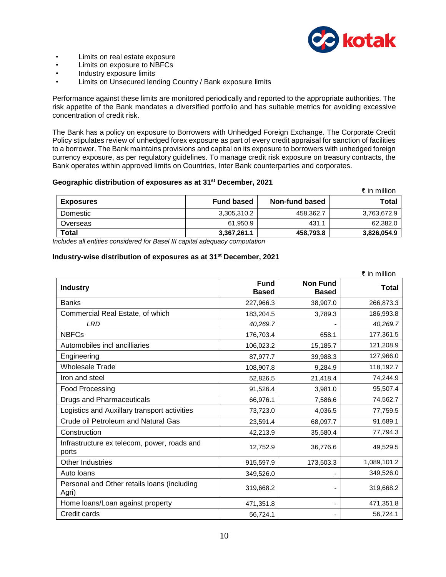

- Limits on real estate exposure
- Limits on exposure to NBFCs
- Industry exposure limits
- Limits on Unsecured lending Country / Bank exposure limits

Performance against these limits are monitored periodically and reported to the appropriate authorities. The risk appetite of the Bank mandates a diversified portfolio and has suitable metrics for avoiding excessive concentration of credit risk.

The Bank has a policy on exposure to Borrowers with Unhedged Foreign Exchange. The Corporate Credit Policy stipulates review of unhedged forex exposure as part of every credit appraisal for sanction of facilities to a borrower. The Bank maintains provisions and capital on its exposure to borrowers with unhedged foreign currency exposure, as per regulatory guidelines. To manage credit risk exposure on treasury contracts, the Bank operates within approved limits on Countries, Inter Bank counterparties and corporates.

#### **Geographic distribution of exposures as at 31 st December, 2021**

|                  |                   |                | ₹ in million |
|------------------|-------------------|----------------|--------------|
| <b>Exposures</b> | <b>Fund based</b> | Non-fund based | Total        |
| Domestic         | 3,305,310.2       | 458,362.7      | 3,763,672.9  |
| Overseas         | 61.950.9          | 431.1          | 62,382.0     |
| Total            | 3,367,261.1       | 458,793.8      | 3,826,054.9  |

*Includes all entities considered for Basel III capital adequacy computation*

#### **Industry-wise distribution of exposures as at 31 st December, 2021**

|                                                      |                             |                                 | ₹ in million |
|------------------------------------------------------|-----------------------------|---------------------------------|--------------|
| <b>Industry</b>                                      | <b>Fund</b><br><b>Based</b> | <b>Non Fund</b><br><b>Based</b> | <b>Total</b> |
| <b>Banks</b>                                         | 227,966.3                   | 38,907.0                        | 266,873.3    |
| Commercial Real Estate, of which                     | 183,204.5                   | 3,789.3                         | 186,993.8    |
| <b>LRD</b>                                           | 40,269.7                    |                                 | 40,269.7     |
| <b>NBFCs</b>                                         | 176,703.4                   | 658.1                           | 177,361.5    |
| Automobiles incl ancilliaries                        | 106,023.2                   | 15,185.7                        | 121,208.9    |
| Engineering                                          | 87,977.7                    | 39,988.3                        | 127,966.0    |
| <b>Wholesale Trade</b>                               | 108,907.8                   | 9,284.9                         | 118,192.7    |
| Iron and steel                                       | 52,826.5                    | 21,418.4                        | 74,244.9     |
| Food Processing                                      | 91,526.4                    | 3,981.0                         | 95,507.4     |
| <b>Drugs and Pharmaceuticals</b>                     | 66,976.1                    | 7,586.6                         | 74,562.7     |
| Logistics and Auxillary transport activities         | 73,723.0                    | 4,036.5                         | 77,759.5     |
| Crude oil Petroleum and Natural Gas                  | 23,591.4                    | 68,097.7                        | 91,689.1     |
| Construction                                         | 42,213.9                    | 35,580.4                        | 77,794.3     |
| Infrastructure ex telecom, power, roads and<br>ports | 12,752.9                    | 36,776.6                        | 49,529.5     |
| <b>Other Industries</b>                              | 915,597.9                   | 173,503.3                       | 1,089,101.2  |
| Auto loans                                           | 349,526.0                   |                                 | 349,526.0    |
| Personal and Other retails loans (including<br>Agri) | 319,668.2                   |                                 | 319,668.2    |
| Home loans/Loan against property                     | 471,351.8                   |                                 | 471,351.8    |
| Credit cards                                         | 56,724.1                    |                                 | 56,724.1     |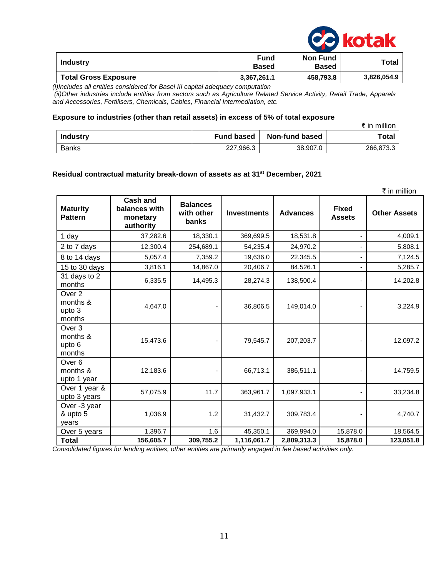

| <b>Industry</b>             | Fund<br><b>Based</b> | Non Fund<br><b>Based</b> | Total       |
|-----------------------------|----------------------|--------------------------|-------------|
| <b>Total Gross Exposure</b> | 3,367,261.1          | 458,793.8                | 3,826,054.9 |

*(i)Includes all entities considered for Basel III capital adequacy computation*

*(ii)Other industries include entities from sectors such as Agriculture Related Service Activity, Retail Trade, Apparels and Accessories, Fertilisers, Chemicals, Cables, Financial Intermediation, etc.*

#### **Exposure to industries (other than retail assets) in excess of 5% of total exposure**

|                 |                   |                | ₹ in million |
|-----------------|-------------------|----------------|--------------|
| <b>Industry</b> | <b>Fund based</b> | Non-fund based | Total        |
| <b>Banks</b>    | 227.966.3         | 38,907.0       | 266,873.3    |

# **Residual contractual maturity break-down of assets as at 31 st December, 2021**

|                                                   |                                                           |                                        |                    |                 |                               | ₹ in million        |
|---------------------------------------------------|-----------------------------------------------------------|----------------------------------------|--------------------|-----------------|-------------------------------|---------------------|
| <b>Maturity</b><br><b>Pattern</b>                 | <b>Cash and</b><br>balances with<br>monetary<br>authority | <b>Balances</b><br>with other<br>banks | <b>Investments</b> | <b>Advances</b> | <b>Fixed</b><br><b>Assets</b> | <b>Other Assets</b> |
| 1 day                                             | 37,282.6                                                  | 18,330.1                               | 369,699.5          | 18,531.8        | $\overline{\phantom{m}}$      | 4,009.1             |
| 2 to 7 days                                       | 12,300.4                                                  | 254,689.1                              | 54,235.4           | 24,970.2        | -                             | 5,808.1             |
| 8 to 14 days                                      | 5,057.4                                                   | 7,359.2                                | 19,636.0           | 22,345.5        | $\overline{\phantom{m}}$      | 7,124.5             |
| 15 to 30 days                                     | 3,816.1                                                   | 14,867.0                               | 20,406.7           | 84,526.1        |                               | 5,285.7             |
| 31 days to 2<br>months                            | 6,335.5                                                   | 14,495.3                               | 28,274.3           | 138,500.4       |                               | 14,202.8            |
| Over 2<br>months &<br>upto 3<br>months            | 4,647.0                                                   |                                        | 36,806.5           | 149,014.0       |                               | 3,224.9             |
| Over <sub>3</sub><br>months &<br>upto 6<br>months | 15,473.6                                                  |                                        | 79,545.7           | 207,203.7       |                               | 12,097.2            |
| Over <sub>6</sub><br>months &<br>upto 1 year      | 12,183.6                                                  |                                        | 66,713.1           | 386,511.1       |                               | 14,759.5            |
| Over 1 year &<br>upto 3 years                     | 57,075.9                                                  | 11.7                                   | 363,961.7          | 1,097,933.1     |                               | 33,234.8            |
| Over -3 year<br>& upto 5<br>years                 | 1,036.9                                                   | 1.2                                    | 31,432.7           | 309,783.4       |                               | 4,740.7             |
| Over 5 years                                      | 1,396.7                                                   | 1.6                                    | 45,350.1           | 369,994.0       | 15,878.0                      | 18,564.5            |
| <b>Total</b>                                      | 156,605.7                                                 | 309,755.2                              | 1,116,061.7        | 2,809,313.3     | 15,878.0                      | 123,051.8           |

*Consolidated figures for lending entities, other entities are primarily engaged in fee based activities only.*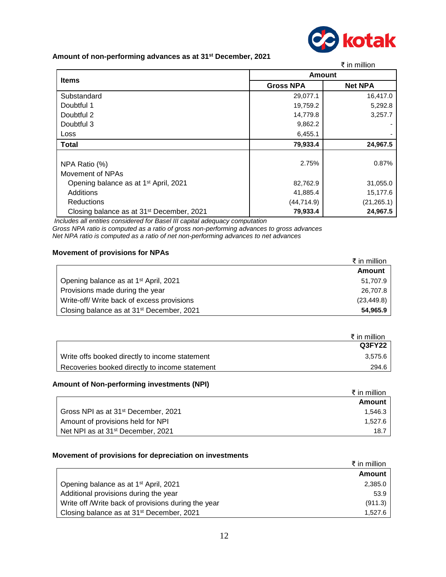

# **Amount of non-performing advances as at 31st December, 2021**

|                                                       |                  | ₹ in million   |  |  |
|-------------------------------------------------------|------------------|----------------|--|--|
|                                                       |                  | <b>Amount</b>  |  |  |
| <b>Items</b>                                          | <b>Gross NPA</b> | <b>Net NPA</b> |  |  |
| Substandard                                           | 29,077.1         | 16,417.0       |  |  |
| Doubtful 1                                            | 19,759.2         | 5,292.8        |  |  |
| Doubtful 2                                            | 14,779.8         | 3,257.7        |  |  |
| Doubtful 3                                            | 9,862.2          |                |  |  |
| Loss                                                  | 6,455.1          |                |  |  |
| <b>Total</b>                                          | 79,933.4         | 24,967.5       |  |  |
| NPA Ratio (%)                                         | 2.75%            | 0.87%          |  |  |
| Movement of NPAs                                      |                  |                |  |  |
| Opening balance as at 1 <sup>st</sup> April, 2021     | 82,762.9         | 31,055.0       |  |  |
| Additions                                             | 41,885.4         | 15,177.6       |  |  |
| Reductions                                            | (44, 714.9)      | (21, 265.1)    |  |  |
| Closing balance as at 31 <sup>st</sup> December, 2021 | 79,933.4         | 24,967.5       |  |  |

*Includes all entities considered for Basel III capital adequacy computation*

*Gross NPA ratio is computed as a ratio of gross non-performing advances to gross advances Net NPA ratio is computed as a ratio of net non-performing advances to net advances*

# **Movement of provisions for NPAs**

|                                                       | ₹ in million  |
|-------------------------------------------------------|---------------|
|                                                       | <b>Amount</b> |
| Opening balance as at 1 <sup>st</sup> April, 2021     | 51,707.9      |
| Provisions made during the year                       | 26,707.8      |
| Write-off/ Write back of excess provisions            | (23, 449.8)   |
| Closing balance as at 31 <sup>st</sup> December, 2021 | 54,965.9      |

|                                                | ₹ in million |
|------------------------------------------------|--------------|
|                                                | Q3FY22       |
| Write offs booked directly to income statement | 3.575.6      |
| Recoveries booked directly to income statement | 294.6        |

# **Amount of Non-performing investments (NPI)**

|                                                 | ₹ in million |
|-------------------------------------------------|--------------|
|                                                 | Amount       |
| Gross NPI as at 31 <sup>st</sup> December, 2021 | 1.546.3      |
| Amount of provisions held for NPI               | 1.527.6      |
| Net NPI as at 31 <sup>st</sup> December, 2021   | 18.7         |

# **Movement of provisions for depreciation on investments**

|                                                       | ₹ in million |
|-------------------------------------------------------|--------------|
|                                                       | Amount       |
| Opening balance as at 1 <sup>st</sup> April, 2021     | 2,385.0      |
| Additional provisions during the year                 | 53.9         |
| Write off /Write back of provisions during the year   | (911.3)      |
| Closing balance as at 31 <sup>st</sup> December, 2021 | 1.527.6      |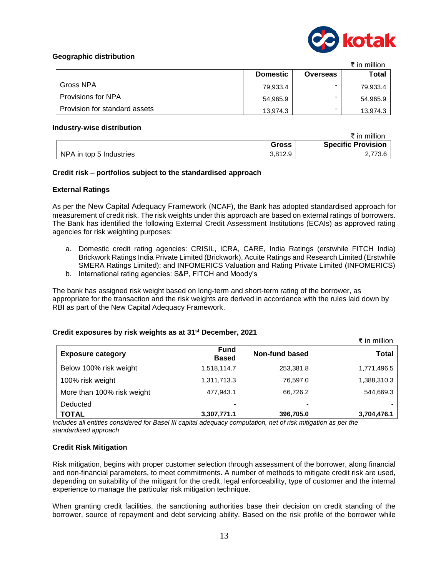

# **Geographic distribution**

|                               |                 |                 | ₹ in million |
|-------------------------------|-----------------|-----------------|--------------|
|                               | <b>Domestic</b> | <b>Overseas</b> | Total        |
| Gross NPA                     | 79,933.4        | -               | 79,933.4     |
| <b>Provisions for NPA</b>     | 54,965.9        | -               | 54,965.9     |
| Provision for standard assets | 13,974.3        | -               | 13,974.3     |

#### **Industry-wise distribution**

|                         |         | ₹ in million              |
|-------------------------|---------|---------------------------|
|                         | Gross   | <b>Specific Provision</b> |
| NPA in top 5 Industries | 3,812.9 | 2,773.6                   |

# **Credit risk – portfolios subject to the standardised approach**

# **External Ratings**

As per the New Capital Adequacy Framework (NCAF), the Bank has adopted standardised approach for measurement of credit risk. The risk weights under this approach are based on external ratings of borrowers. The Bank has identified the following External Credit Assessment Institutions (ECAIs) as approved rating agencies for risk weighting purposes:

- a. Domestic credit rating agencies: CRISIL, ICRA, CARE, India Ratings (erstwhile FITCH India) Brickwork Ratings India Private Limited (Brickwork), Acuite Ratings and Research Limited (Erstwhile SMERA Ratings Limited); and INFOMERICS Valuation and Rating Private Limited (INFOMERICS)
- b. International rating agencies: S&P, FITCH and Moody's

The bank has assigned risk weight based on long-term and short-term rating of the borrower, as appropriate for the transaction and the risk weights are derived in accordance with the rules laid down by RBI as part of the New Capital Adequacy Framework.

# **Credit exposures by risk weights as at 31st December, 2021**

|                                     |                             |                | ₹ in million |
|-------------------------------------|-----------------------------|----------------|--------------|
| <b>Exposure category</b>            | <b>Fund</b><br><b>Based</b> | Non-fund based | Total        |
| Below 100% risk weight              | 1,518,114.7                 | 253,381.8      | 1,771,496.5  |
| 100% risk weight                    | 1,311,713.3                 | 76,597.0       | 1,388,310.3  |
| More than 100% risk weight          | 477,943.1                   | 66,726.2       | 544,669.3    |
| Deducted                            | -                           | ۰              |              |
| <b>TOTAL</b><br>$\cdot \cdot \cdot$ | 3,307,771.1<br>. .          | 396,705.0      | 3,704,476.1  |

*Includes all entities considered for Basel III capital adequacy computation, net of risk mitigation as per the standardised approach*

# **Credit Risk Mitigation**

Risk mitigation, begins with proper customer selection through assessment of the borrower, along financial and non-financial parameters, to meet commitments. A number of methods to mitigate credit risk are used, depending on suitability of the mitigant for the credit, legal enforceability, type of customer and the internal experience to manage the particular risk mitigation technique.

When granting credit facilities, the sanctioning authorities base their decision on credit standing of the borrower, source of repayment and debt servicing ability. Based on the risk profile of the borrower while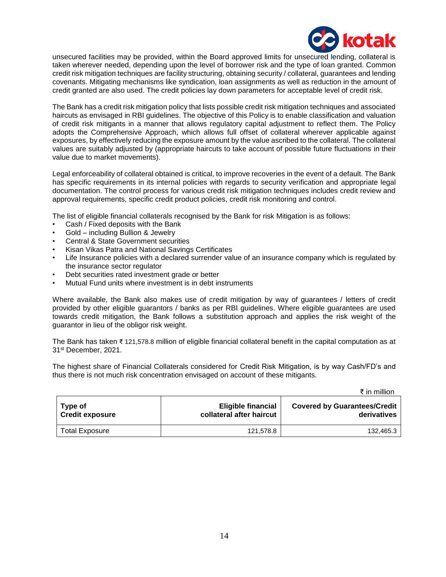

unsecured facilities may be provided, within the Board approved limits for unsecured lending, collateral is taken wherever needed, depending upon the level of borrower risk and the type of loan granted. Common credit risk mitigation techniques are facility structuring, obtaining security / collateral, guarantees and lending covenants. Mitigating mechanisms like syndication, loan assignments as well as reduction in the amount of credit granted are also used. The credit policies lay down parameters for acceptable level of credit risk.

The Bank has a credit risk mitigation policy that lists possible credit risk mitigation techniques and associated haircuts as envisaged in RBI guidelines. The objective of this Policy is to enable classification and valuation of credit risk mitigants in a manner that allows regulatory capital adjustment to reflect them. The Policy adopts the Comprehensive Approach, which allows full offset of collateral wherever applicable against exposures, by effectively reducing the exposure amount by the value ascribed to the collateral. The collateral values are suitably adjusted by (appropriate haircuts to take account of possible future fluctuations in their value due to market movements).

Legal enforceability of collateral obtained is critical, to improve recoveries in the event of a default. The Bank has specific requirements in its internal policies with regards to security verification and appropriate legal documentation. The control process for various credit risk mitigation techniques includes credit review and approval requirements, specific credit product policies, credit risk monitoring and control.

The list of eligible financial collaterals recognised by the Bank for risk Mitigation is as follows:

- Cash / Fixed deposits with the Bank
- Gold including Bullion & Jewelry
- Central & State Government securities
- Kisan Vikas Patra and National Savings Certificates
- Life Insurance policies with a declared surrender value of an insurance company which is regulated by the insurance sector regulator
- Debt securities rated investment grade or better
- Mutual Fund units where investment is in debt instruments

Where available, the Bank also makes use of credit mitigation by way of guarantees / letters of credit provided by other eligible guarantors / banks as per RBI guidelines. Where eligible guarantees are used towards credit mitigation, the Bank follows a substitution approach and applies the risk weight of the guarantor in lieu of the obligor risk weight.

The Bank has taken ₹ 121,578.8 million of eligible financial collateral benefit in the capital computation as at 31st December, 2021.

The highest share of Financial Collaterals considered for Credit Risk Mitigation, is by way Cash/FD's and thus there is not much risk concentration envisaged on account of these mitigants.

|                                   |                                                       | ₹ in million                                       |
|-----------------------------------|-------------------------------------------------------|----------------------------------------------------|
| Type of<br><b>Credit exposure</b> | <b>Eligible financial</b><br>collateral after haircut | <b>Covered by Guarantees/Credit</b><br>derivatives |
| <b>Total Exposure</b>             | 121.578.8                                             | 132,465.3                                          |